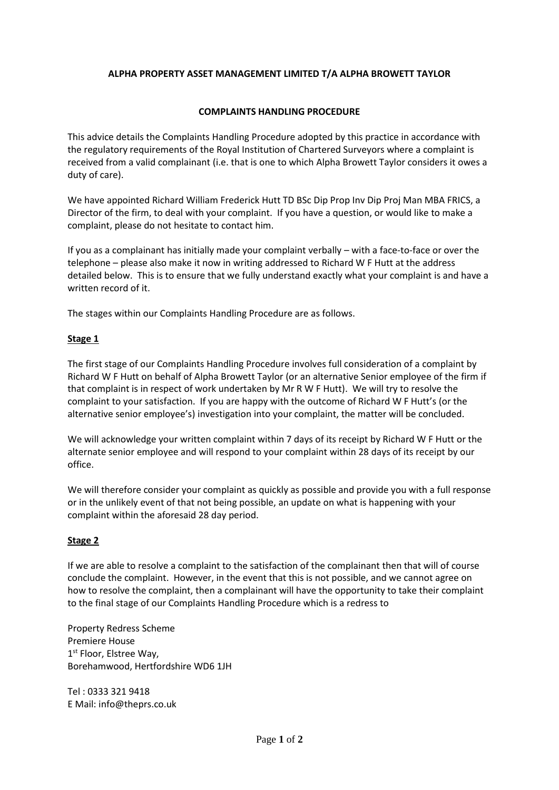# **ALPHA PROPERTY ASSET MANAGEMENT LIMITED T/A ALPHA BROWETT TAYLOR**

### **COMPLAINTS HANDLING PROCEDURE**

This advice details the Complaints Handling Procedure adopted by this practice in accordance with the regulatory requirements of the Royal Institution of Chartered Surveyors where a complaint is received from a valid complainant (i.e. that is one to which Alpha Browett Taylor considers it owes a duty of care).

We have appointed Richard William Frederick Hutt TD BSc Dip Prop Inv Dip Proj Man MBA FRICS, a Director of the firm, to deal with your complaint. If you have a question, or would like to make a complaint, please do not hesitate to contact him.

If you as a complainant has initially made your complaint verbally – with a face-to-face or over the telephone – please also make it now in writing addressed to Richard W F Hutt at the address detailed below. This is to ensure that we fully understand exactly what your complaint is and have a written record of it.

The stages within our Complaints Handling Procedure are as follows.

### **Stage 1**

The first stage of our Complaints Handling Procedure involves full consideration of a complaint by Richard W F Hutt on behalf of Alpha Browett Taylor (or an alternative Senior employee of the firm if that complaint is in respect of work undertaken by Mr R W F Hutt). We will try to resolve the complaint to your satisfaction. If you are happy with the outcome of Richard W F Hutt's (or the alternative senior employee's) investigation into your complaint, the matter will be concluded.

We will acknowledge your written complaint within 7 days of its receipt by Richard W F Hutt or the alternate senior employee and will respond to your complaint within 28 days of its receipt by our office.

We will therefore consider your complaint as quickly as possible and provide you with a full response or in the unlikely event of that not being possible, an update on what is happening with your complaint within the aforesaid 28 day period.

# **Stage 2**

If we are able to resolve a complaint to the satisfaction of the complainant then that will of course conclude the complaint. However, in the event that this is not possible, and we cannot agree on how to resolve the complaint, then a complainant will have the opportunity to take their complaint to the final stage of our Complaints Handling Procedure which is a redress to

Property Redress Scheme Premiere House 1<sup>st</sup> Floor, Elstree Way, Borehamwood, Hertfordshire WD6 1JH

Tel : 0333 321 9418 E Mail: info@theprs.co.uk